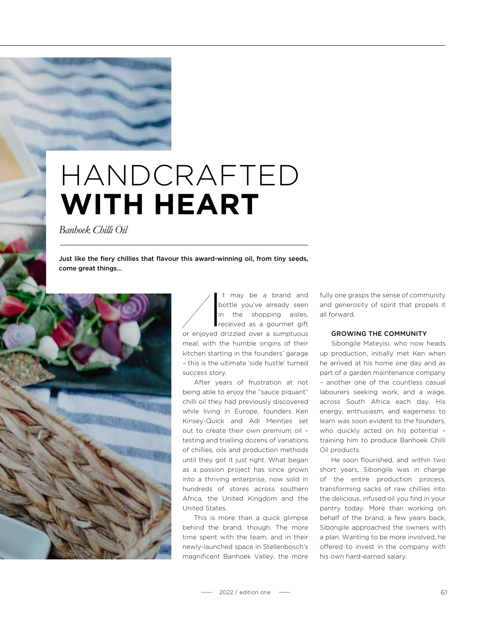## HANDCRAFTED **WITH HEART**

*Banhoek Chilli Oil*

Just like the fiery chillies that flavour this award-winning oil, from tiny seeds, come great things…



 $\frac{b}{\frac{1}{2}}$ may be a brand and bottle you've already seen in the shopping aisles, received as a gourmet gift or enjoyed drizzled over a sumptuous meal, with the humble origins of their kitchen starting in the founders' garage – this is the ultimate 'side hustle' turned success story.

After years of frustration at not being able to enjoy the "sauce piquant" chilli oil they had previously discovered while living in Europe, founders Ken Kinsey-Quick and Adi Meintjes set out to create their own premium oil – testing and trialling dozens of variations of chillies, oils and production methods until they got it just right. What began as a passion project has since grown into a thriving enterprise, now sold in hundreds of stores across southern Africa, the United Kingdom and the United States.

This is more than a quick glimpse behind the brand, though. The more time spent with the team, and in their newly-launched space in Stellenbosch's magnificent Banhoek Valley, the more fully one grasps the sense of community and generosity of spirit that propels it all forward.

## GROWING THE COMMUNITY

Sibongile Mateyisi, who now heads up production, initially met Ken when he arrived at his home one day and as part of a garden maintenance company – another one of the countless casual labourers seeking work, and a wage, across South Africa each day. His energy, enthusiasm, and eagerness to learn was soon evident to the founders, who quickly acted on his potential – training him to produce Banhoek Chilli Oil products.

He soon flourished, and within two short years, Sibongile was in charge of the entire production process, transforming sacks of raw chillies into the delicious, infused oil you find in your pantry today. More than working on behalf of the brand, a few years back, Sibongile approached the owners with a plan. Wanting to be more involved, he offered to invest in the company with his own hard-earned salary.